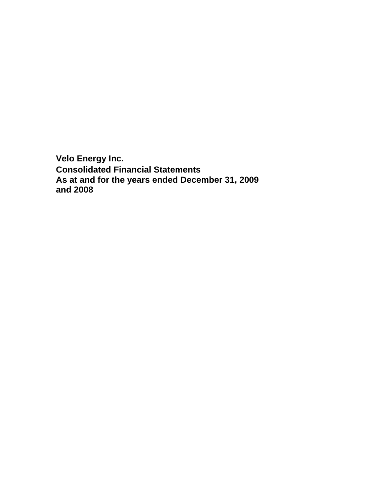**Velo Energy Inc. Consolidated Financial Statements As at and for the years ended December 31, 2009 and 2008**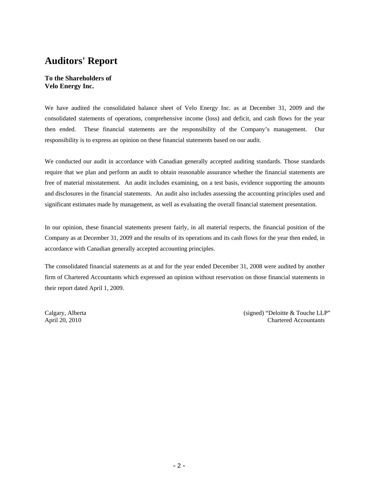# **Auditors' Report**

# **To the Shareholders of Velo Energy Inc.**

We have audited the consolidated balance sheet of Velo Energy Inc. as at December 31, 2009 and the consolidated statements of operations, comprehensive income (loss) and deficit, and cash flows for the year then ended. These financial statements are the responsibility of the Company's management. Our responsibility is to express an opinion on these financial statements based on our audit.

We conducted our audit in accordance with Canadian generally accepted auditing standards. Those standards require that we plan and perform an audit to obtain reasonable assurance whether the financial statements are free of material misstatement. An audit includes examining, on a test basis, evidence supporting the amounts and disclosures in the financial statements. An audit also includes assessing the accounting principles used and significant estimates made by management, as well as evaluating the overall financial statement presentation.

In our opinion, these financial statements present fairly, in all material respects, the financial position of the Company as at December 31, 2009 and the results of its operations and its cash flows for the year then ended, in accordance with Canadian generally accepted accounting principles.

The consolidated financial statements as at and for the year ended December 31, 2008 were audited by another firm of Chartered Accountants which expressed an opinion without reservation on those financial statements in their report dated April 1, 2009.

Calgary, Alberta (signed) "Deloitte & Touche LLP" (signed) "Deloitte & Touche LLP" April 20, 2010 Chartered Accountants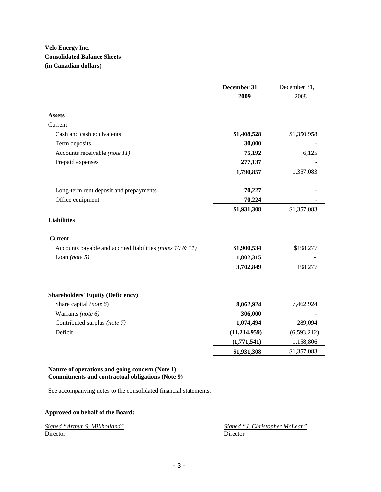# **Velo Energy Inc. Consolidated Balance Sheets (in Canadian dollars)**

|                                                              | December 31,   | December 31,  |
|--------------------------------------------------------------|----------------|---------------|
|                                                              | 2009           | 2008          |
|                                                              |                |               |
| <b>Assets</b>                                                |                |               |
| Current                                                      |                |               |
| Cash and cash equivalents                                    | \$1,408,528    | \$1,350,958   |
| Term deposits                                                | 30,000         |               |
| Accounts receivable (note 11)                                | 75,192         | 6,125         |
| Prepaid expenses                                             | 277,137        |               |
|                                                              | 1,790,857      | 1,357,083     |
| Long-term rent deposit and prepayments                       | 70,227         |               |
| Office equipment                                             | 70,224         |               |
|                                                              | \$1,931,308    | \$1,357,083   |
| <b>Liabilities</b>                                           |                |               |
| Current                                                      |                |               |
| Accounts payable and accrued liabilities (notes $10 \& 11$ ) | \$1,900,534    | \$198,277     |
| Loan (note $5$ )                                             | 1,802,315      |               |
|                                                              | 3,702,849      | 198,277       |
| <b>Shareholders' Equity (Deficiency)</b>                     |                |               |
| Share capital (note 6)                                       | 8,062,924      | 7,462,924     |
| Warrants (note 6)                                            | 306,000        |               |
| Contributed surplus (note 7)                                 | 1,074,494      | 289,094       |
| Deficit                                                      | (11, 214, 959) | (6, 593, 212) |
|                                                              | (1,771,541)    | 1,158,806     |
|                                                              | \$1,931,308    | \$1,357,083   |

# **Nature of operations and going concern (Note 1) Commitments and contractual obligations (Note 9)**

See accompanying notes to the consolidated financial statements.

# **Approved on behalf of the Board:**

|          |  | Signed "Arthur S. Millholland" |  |
|----------|--|--------------------------------|--|
| Director |  |                                |  |

*Signed "J. Christopher McLean"* Director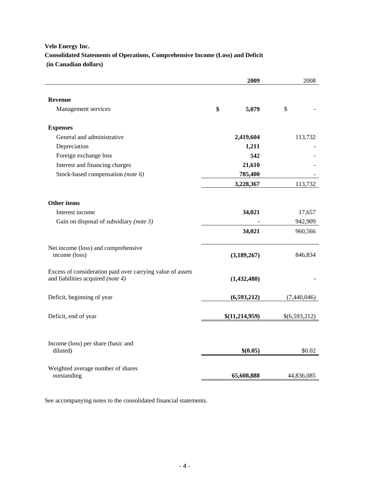# **Velo Energy Inc. Consolidated Statements of Operations, Comprehensive Income (Loss) and Deficit (in Canadian dollars)**

|                                                                                                 | 2009           | 2008          |  |
|-------------------------------------------------------------------------------------------------|----------------|---------------|--|
| <b>Revenue</b>                                                                                  |                |               |  |
| Management services                                                                             | \$<br>5,079    | $\mathcal{S}$ |  |
| <b>Expenses</b>                                                                                 |                |               |  |
| General and administrative                                                                      | 2,419,604      | 113,732       |  |
| Depreciation                                                                                    | 1,211          |               |  |
| Foreign exchange loss                                                                           | 542            |               |  |
| Interest and financing charges                                                                  | 21,610         |               |  |
| Stock-based compensation (note 6)                                                               | 785,400        |               |  |
|                                                                                                 | 3,228,367      | 113,732       |  |
| <b>Other items</b>                                                                              |                |               |  |
| Interest income                                                                                 | 34,021         | 17,657        |  |
| Gain on disposal of subsidiary (note 3)                                                         |                | 942,909       |  |
|                                                                                                 | 34,021         | 960,566       |  |
| Net income (loss) and comprehensive<br>income (loss)                                            | (3, 189, 267)  | 846,834       |  |
| Excess of consideration paid over carrying value of assets<br>and liabilities acquired (note 4) | (1,432,480)    |               |  |
| Deficit, beginning of year                                                                      | (6,593,212)    | (7,440,046)   |  |
| Deficit, end of year                                                                            | \$(11,214,959) | \$(6,593,212) |  |
| Income (loss) per share (basic and<br>diluted)                                                  | \$(0.05)       | \$0.02        |  |
| Weighted average number of shares<br>outstanding                                                | 65,608,888     | 44,836,085    |  |

See accompanying notes to the consolidated financial statements.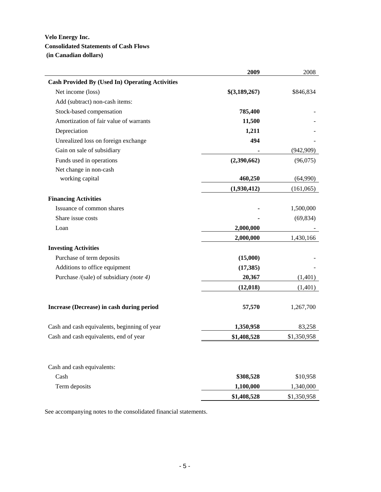# **Velo Energy Inc. Consolidated Statements of Cash Flows (in Canadian dollars)**

| <b>Cash Provided By (Used In) Operating Activities</b><br>Net income (loss)<br>\$846,834<br>\$(3,189,267)<br>Add (subtract) non-cash items:<br>Stock-based compensation<br>785,400<br>Amortization of fair value of warrants<br>11,500<br>1,211<br>Depreciation<br>494<br>Unrealized loss on foreign exchange<br>Gain on sale of subsidiary<br>(942,909)<br>Funds used in operations<br>(2,390,662)<br>(96,075)<br>Net change in non-cash<br>working capital<br>460,250<br>(64,990)<br>(1,930,412)<br>(161,065)<br><b>Financing Activities</b><br>Issuance of common shares<br>1,500,000<br>Share issue costs<br>(69, 834)<br>2,000,000<br>Loan<br>2,000,000<br>1,430,166<br><b>Investing Activities</b><br>Purchase of term deposits<br>(15,000)<br>Additions to office equipment<br>(17, 385)<br>Purchase /(sale) of subsidiary (note 4)<br>20,367<br>(1,401)<br>(1,401)<br>(12, 018)<br>Increase (Decrease) in cash during period<br>57,570<br>1,267,700<br>Cash and cash equivalents, beginning of year<br>1,350,958<br>83,258<br>Cash and cash equivalents, end of year<br>\$1,350,958<br>\$1,408,528<br>Cash and cash equivalents:<br>Cash<br>\$308,528<br>\$10,958<br>Term deposits<br>1,100,000<br>1,340,000<br>\$1,408,528<br>\$1,350,958 | 2009 | 2008 |
|----------------------------------------------------------------------------------------------------------------------------------------------------------------------------------------------------------------------------------------------------------------------------------------------------------------------------------------------------------------------------------------------------------------------------------------------------------------------------------------------------------------------------------------------------------------------------------------------------------------------------------------------------------------------------------------------------------------------------------------------------------------------------------------------------------------------------------------------------------------------------------------------------------------------------------------------------------------------------------------------------------------------------------------------------------------------------------------------------------------------------------------------------------------------------------------------------------------------------------------------------|------|------|
|                                                                                                                                                                                                                                                                                                                                                                                                                                                                                                                                                                                                                                                                                                                                                                                                                                                                                                                                                                                                                                                                                                                                                                                                                                                    |      |      |
|                                                                                                                                                                                                                                                                                                                                                                                                                                                                                                                                                                                                                                                                                                                                                                                                                                                                                                                                                                                                                                                                                                                                                                                                                                                    |      |      |
|                                                                                                                                                                                                                                                                                                                                                                                                                                                                                                                                                                                                                                                                                                                                                                                                                                                                                                                                                                                                                                                                                                                                                                                                                                                    |      |      |
|                                                                                                                                                                                                                                                                                                                                                                                                                                                                                                                                                                                                                                                                                                                                                                                                                                                                                                                                                                                                                                                                                                                                                                                                                                                    |      |      |
|                                                                                                                                                                                                                                                                                                                                                                                                                                                                                                                                                                                                                                                                                                                                                                                                                                                                                                                                                                                                                                                                                                                                                                                                                                                    |      |      |
|                                                                                                                                                                                                                                                                                                                                                                                                                                                                                                                                                                                                                                                                                                                                                                                                                                                                                                                                                                                                                                                                                                                                                                                                                                                    |      |      |
|                                                                                                                                                                                                                                                                                                                                                                                                                                                                                                                                                                                                                                                                                                                                                                                                                                                                                                                                                                                                                                                                                                                                                                                                                                                    |      |      |
|                                                                                                                                                                                                                                                                                                                                                                                                                                                                                                                                                                                                                                                                                                                                                                                                                                                                                                                                                                                                                                                                                                                                                                                                                                                    |      |      |
|                                                                                                                                                                                                                                                                                                                                                                                                                                                                                                                                                                                                                                                                                                                                                                                                                                                                                                                                                                                                                                                                                                                                                                                                                                                    |      |      |
|                                                                                                                                                                                                                                                                                                                                                                                                                                                                                                                                                                                                                                                                                                                                                                                                                                                                                                                                                                                                                                                                                                                                                                                                                                                    |      |      |
|                                                                                                                                                                                                                                                                                                                                                                                                                                                                                                                                                                                                                                                                                                                                                                                                                                                                                                                                                                                                                                                                                                                                                                                                                                                    |      |      |
|                                                                                                                                                                                                                                                                                                                                                                                                                                                                                                                                                                                                                                                                                                                                                                                                                                                                                                                                                                                                                                                                                                                                                                                                                                                    |      |      |
|                                                                                                                                                                                                                                                                                                                                                                                                                                                                                                                                                                                                                                                                                                                                                                                                                                                                                                                                                                                                                                                                                                                                                                                                                                                    |      |      |
|                                                                                                                                                                                                                                                                                                                                                                                                                                                                                                                                                                                                                                                                                                                                                                                                                                                                                                                                                                                                                                                                                                                                                                                                                                                    |      |      |
|                                                                                                                                                                                                                                                                                                                                                                                                                                                                                                                                                                                                                                                                                                                                                                                                                                                                                                                                                                                                                                                                                                                                                                                                                                                    |      |      |
|                                                                                                                                                                                                                                                                                                                                                                                                                                                                                                                                                                                                                                                                                                                                                                                                                                                                                                                                                                                                                                                                                                                                                                                                                                                    |      |      |
|                                                                                                                                                                                                                                                                                                                                                                                                                                                                                                                                                                                                                                                                                                                                                                                                                                                                                                                                                                                                                                                                                                                                                                                                                                                    |      |      |
|                                                                                                                                                                                                                                                                                                                                                                                                                                                                                                                                                                                                                                                                                                                                                                                                                                                                                                                                                                                                                                                                                                                                                                                                                                                    |      |      |
|                                                                                                                                                                                                                                                                                                                                                                                                                                                                                                                                                                                                                                                                                                                                                                                                                                                                                                                                                                                                                                                                                                                                                                                                                                                    |      |      |
|                                                                                                                                                                                                                                                                                                                                                                                                                                                                                                                                                                                                                                                                                                                                                                                                                                                                                                                                                                                                                                                                                                                                                                                                                                                    |      |      |
|                                                                                                                                                                                                                                                                                                                                                                                                                                                                                                                                                                                                                                                                                                                                                                                                                                                                                                                                                                                                                                                                                                                                                                                                                                                    |      |      |
|                                                                                                                                                                                                                                                                                                                                                                                                                                                                                                                                                                                                                                                                                                                                                                                                                                                                                                                                                                                                                                                                                                                                                                                                                                                    |      |      |
|                                                                                                                                                                                                                                                                                                                                                                                                                                                                                                                                                                                                                                                                                                                                                                                                                                                                                                                                                                                                                                                                                                                                                                                                                                                    |      |      |
|                                                                                                                                                                                                                                                                                                                                                                                                                                                                                                                                                                                                                                                                                                                                                                                                                                                                                                                                                                                                                                                                                                                                                                                                                                                    |      |      |
|                                                                                                                                                                                                                                                                                                                                                                                                                                                                                                                                                                                                                                                                                                                                                                                                                                                                                                                                                                                                                                                                                                                                                                                                                                                    |      |      |
|                                                                                                                                                                                                                                                                                                                                                                                                                                                                                                                                                                                                                                                                                                                                                                                                                                                                                                                                                                                                                                                                                                                                                                                                                                                    |      |      |
|                                                                                                                                                                                                                                                                                                                                                                                                                                                                                                                                                                                                                                                                                                                                                                                                                                                                                                                                                                                                                                                                                                                                                                                                                                                    |      |      |
|                                                                                                                                                                                                                                                                                                                                                                                                                                                                                                                                                                                                                                                                                                                                                                                                                                                                                                                                                                                                                                                                                                                                                                                                                                                    |      |      |
|                                                                                                                                                                                                                                                                                                                                                                                                                                                                                                                                                                                                                                                                                                                                                                                                                                                                                                                                                                                                                                                                                                                                                                                                                                                    |      |      |
|                                                                                                                                                                                                                                                                                                                                                                                                                                                                                                                                                                                                                                                                                                                                                                                                                                                                                                                                                                                                                                                                                                                                                                                                                                                    |      |      |

See accompanying notes to the consolidated financial statements.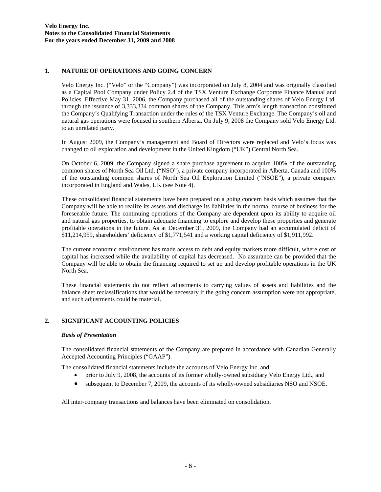# **1. NATURE OF OPERATIONS AND GOING CONCERN**

Velo Energy Inc. ("Velo" or the "Company") was incorporated on July 8, 2004 and was originally classified as a Capital Pool Company under Policy 2.4 of the TSX Venture Exchange Corporate Finance Manual and Policies. Effective May 31, 2006, the Company purchased all of the outstanding shares of Velo Energy Ltd. through the issuance of 3,333,334 common shares of the Company. This arm's length transaction constituted the Company's Qualifying Transaction under the rules of the TSX Venture Exchange. The Company's oil and natural gas operations were focused in southern Alberta. On July 9, 2008 the Company sold Velo Energy Ltd. to an unrelated party.

In August 2009, the Company's management and Board of Directors were replaced and Velo's focus was changed to oil exploration and development in the United Kingdom ("UK") Central North Sea.

On October 6, 2009, the Company signed a share purchase agreement to acquire 100% of the outstanding common shares of North Sea Oil Ltd. ("NSO"), a private company incorporated in Alberta, Canada and 100% of the outstanding common shares of North Sea Oil Exploration Limited ("NSOE"), a private company incorporated in England and Wales, UK (see Note 4).

 These consolidated financial statements have been prepared on a going concern basis which assumes that the Company will be able to realize its assets and discharge its liabilities in the normal course of business for the foreseeable future. The continuing operations of the Company are dependent upon its ability to acquire oil and natural gas properties, to obtain adequate financing to explore and develop these properties and generate profitable operations in the future. As at December 31, 2009, the Company had an accumulated deficit of \$11,214,959, shareholders' deficiency of \$1,771,541 and a working capital deficiency of \$1,911,992.

The current economic environment has made access to debt and equity markets more difficult, where cost of capital has increased while the availability of capital has decreased. No assurance can be provided that the Company will be able to obtain the financing required to set up and develop profitable operations in the UK North Sea.

 These financial statements do not reflect adjustments to carrying values of assets and liabilities and the balance sheet reclassifications that would be necessary if the going concern assumption were not appropriate, and such adjustments could be material.

# **2. SIGNIFICANT ACCOUNTING POLICIES**

# *Basis of Presentation*

The consolidated financial statements of the Company are prepared in accordance with Canadian Generally Accepted Accounting Principles ("GAAP").

The consolidated financial statements include the accounts of Velo Energy Inc. and:

- prior to July 9, 2008, the accounts of its former wholly-owned subsidiary Velo Energy Ltd., and
- subsequent to December 7, 2009, the accounts of its wholly-owned subsidiaries NSO and NSOE.

All inter-company transactions and balances have been eliminated on consolidation.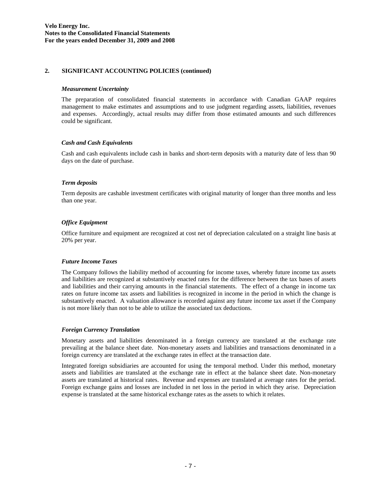# **2. SIGNIFICANT ACCOUNTING POLICIES (continued)**

#### *Measurement Uncertainty*

The preparation of consolidated financial statements in accordance with Canadian GAAP requires management to make estimates and assumptions and to use judgment regarding assets, liabilities, revenues and expenses. Accordingly, actual results may differ from those estimated amounts and such differences could be significant.

# *Cash and Cash Equivalents*

Cash and cash equivalents include cash in banks and short-term deposits with a maturity date of less than 90 days on the date of purchase.

#### *Term deposits*

Term deposits are cashable investment certificates with original maturity of longer than three months and less than one year.

# *Office Equipment*

Office furniture and equipment are recognized at cost net of depreciation calculated on a straight line basis at 20% per year.

#### *Future Income Taxes*

The Company follows the liability method of accounting for income taxes, whereby future income tax assets and liabilities are recognized at substantively enacted rates for the difference between the tax bases of assets and liabilities and their carrying amounts in the financial statements. The effect of a change in income tax rates on future income tax assets and liabilities is recognized in income in the period in which the change is substantively enacted. A valuation allowance is recorded against any future income tax asset if the Company is not more likely than not to be able to utilize the associated tax deductions.

#### *Foreign Currency Translation*

Monetary assets and liabilities denominated in a foreign currency are translated at the exchange rate prevailing at the balance sheet date. Non-monetary assets and liabilities and transactions denominated in a foreign currency are translated at the exchange rates in effect at the transaction date.

Integrated foreign subsidiaries are accounted for using the temporal method. Under this method, monetary assets and liabilities are translated at the exchange rate in effect at the balance sheet date. Non-monetary assets are translated at historical rates. Revenue and expenses are translated at average rates for the period. Foreign exchange gains and losses are included in net loss in the period in which they arise. Depreciation expense is translated at the same historical exchange rates as the assets to which it relates.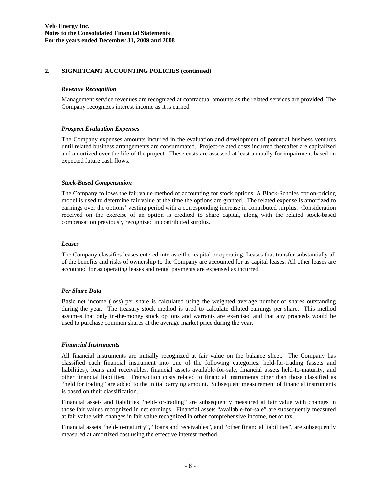# **2. SIGNIFICANT ACCOUNTING POLICIES (continued)**

#### *Revenue Recognition*

Management service revenues are recognized at contractual amounts as the related services are provided. The Company recognizes interest income as it is earned.

#### *Prospect Evaluation Expenses*

The Company expenses amounts incurred in the evaluation and development of potential business ventures until related business arrangements are consummated. Project-related costs incurred thereafter are capitalized and amortized over the life of the project. These costs are assessed at least annually for impairment based on expected future cash flows.

#### *Stock-Based Compensation*

The Company follows the fair value method of accounting for stock options. A Black-Scholes option-pricing model is used to determine fair value at the time the options are granted. The related expense is amortized to earnings over the options' vesting period with a corresponding increase in contributed surplus. Consideration received on the exercise of an option is credited to share capital, along with the related stock-based compensation previously recognized in contributed surplus.

#### *Leases*

The Company classifies leases entered into as either capital or operating. Leases that transfer substantially all of the benefits and risks of ownership to the Company are accounted for as capital leases. All other leases are accounted for as operating leases and rental payments are expensed as incurred.

# *Per Share Data*

Basic net income (loss) per share is calculated using the weighted average number of shares outstanding during the year. The treasury stock method is used to calculate diluted earnings per share. This method assumes that only in-the-money stock options and warrants are exercised and that any proceeds would be used to purchase common shares at the average market price during the year.

#### *Financial Instruments*

All financial instruments are initially recognized at fair value on the balance sheet. The Company has classified each financial instrument into one of the following categories: held-for-trading (assets and liabilities), loans and receivables, financial assets available-for-sale, financial assets held-to-maturity, and other financial liabilities. Transaction costs related to financial instruments other than those classified as "held for trading" are added to the initial carrying amount. Subsequent measurement of financial instruments is based on their classification.

Financial assets and liabilities "held-for-trading" are subsequently measured at fair value with changes in those fair values recognized in net earnings. Financial assets "available-for-sale" are subsequently measured at fair value with changes in fair value recognized in other comprehensive income, net of tax.

Financial assets "held-to-maturity", "loans and receivables", and "other financial liabilities", are subsequently measured at amortized cost using the effective interest method.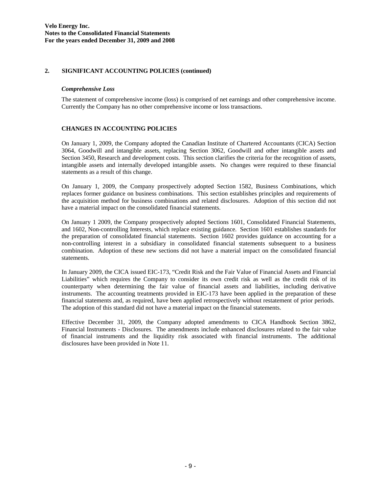# **2. SIGNIFICANT ACCOUNTING POLICIES (continued)**

# *Comprehensive Loss*

The statement of comprehensive income (loss) is comprised of net earnings and other comprehensive income. Currently the Company has no other comprehensive income or loss transactions.

# **CHANGES IN ACCOUNTING POLICIES**

On January 1, 2009, the Company adopted the Canadian Institute of Chartered Accountants (CICA) Section 3064, Goodwill and intangible assets, replacing Section 3062, Goodwill and other intangible assets and Section 3450, Research and development costs. This section clarifies the criteria for the recognition of assets, intangible assets and internally developed intangible assets. No changes were required to these financial statements as a result of this change.

On January 1, 2009, the Company prospectively adopted Section 1582, Business Combinations, which replaces former guidance on business combinations. This section establishes principles and requirements of the acquisition method for business combinations and related disclosures. Adoption of this section did not have a material impact on the consolidated financial statements.

On January 1 2009, the Company prospectively adopted Sections 1601, Consolidated Financial Statements, and 1602, Non-controlling Interests, which replace existing guidance. Section 1601 establishes standards for the preparation of consolidated financial statements. Section 1602 provides guidance on accounting for a non-controlling interest in a subsidiary in consolidated financial statements subsequent to a business combination. Adoption of these new sections did not have a material impact on the consolidated financial statements.

In January 2009, the CICA issued EIC-173, "Credit Risk and the Fair Value of Financial Assets and Financial Liabilities" which requires the Company to consider its own credit risk as well as the credit risk of its counterparty when determining the fair value of financial assets and liabilities, including derivative instruments. The accounting treatments provided in EIC-173 have been applied in the preparation of these financial statements and, as required, have been applied retrospectively without restatement of prior periods. The adoption of this standard did not have a material impact on the financial statements.

Effective December 31, 2009, the Company adopted amendments to CICA Handbook Section 3862, Financial Instruments - Disclosures. The amendments include enhanced disclosures related to the fair value of financial instruments and the liquidity risk associated with financial instruments. The additional disclosures have been provided in Note 11.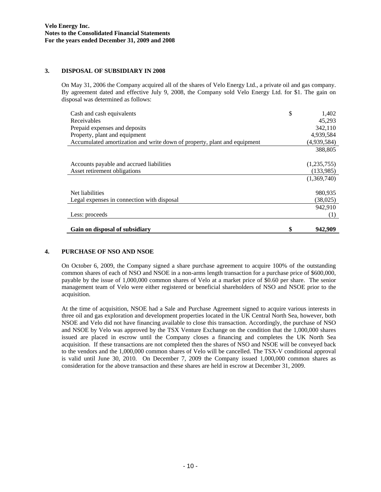# **3. DISPOSAL OF SUBSIDIARY IN 2008**

On May 31, 2006 the Company acquired all of the shares of Velo Energy Ltd., a private oil and gas company. By agreement dated and effective July 9, 2008, the Company sold Velo Energy Ltd. for \$1. The gain on disposal was determined as follows:

| Cash and cash equivalents                                                | \$<br>1,402 |
|--------------------------------------------------------------------------|-------------|
| Receivables                                                              | 45.293      |
| Prepaid expenses and deposits                                            | 342,110     |
| Property, plant and equipment                                            | 4,939,584   |
| Accumulated amortization and write down of property, plant and equipment | (4,939,584) |
|                                                                          | 388,805     |
|                                                                          |             |
| Accounts payable and accrued liabilities                                 | (1,235,755) |
| Asset retirement obligations                                             | (133,985)   |
|                                                                          | (1,369,740) |
|                                                                          |             |
| Net liabilities                                                          | 980,935     |
| Legal expenses in connection with disposal                               | (38,025)    |
|                                                                          | 942.910     |
| Less: proceeds                                                           | (1)         |
|                                                                          |             |
| Gain on disposal of subsidiary                                           | 942,909     |

# **4. PURCHASE OF NSO AND NSOE**

On October 6, 2009, the Company signed a share purchase agreement to acquire 100% of the outstanding common shares of each of NSO and NSOE in a non-arms length transaction for a purchase price of \$600,000, payable by the issue of 1,000,000 common shares of Velo at a market price of \$0.60 per share. The senior management team of Velo were either registered or beneficial shareholders of NSO and NSOE prior to the acquisition.

At the time of acquisition, NSOE had a Sale and Purchase Agreement signed to acquire various interests in three oil and gas exploration and development properties located in the UK Central North Sea, however, both NSOE and Velo did not have financing available to close this transaction. Accordingly, the purchase of NSO and NSOE by Velo was approved by the TSX Venture Exchange on the condition that the 1,000,000 shares issued are placed in escrow until the Company closes a financing and completes the UK North Sea acquisition. If these transactions are not completed then the shares of NSO and NSOE will be conveyed back to the vendors and the 1,000,000 common shares of Velo will be cancelled. The TSX-V conditional approval is valid until June 30, 2010. On December 7, 2009 the Company issued 1,000,000 common shares as consideration for the above transaction and these shares are held in escrow at December 31, 2009.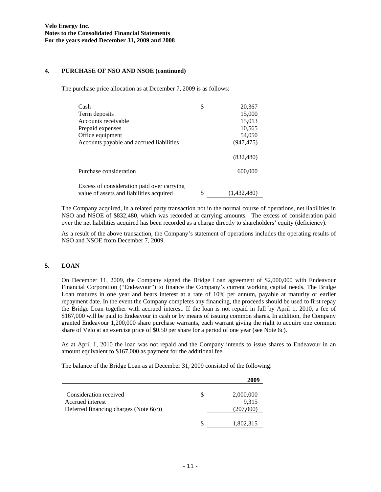#### **4. PURCHASE OF NSO AND NSOE (continued)**

The purchase price allocation as at December 7, 2009 is as follows:

| Cash                                                                                   | \$<br>20,367      |
|----------------------------------------------------------------------------------------|-------------------|
| Term deposits                                                                          | 15,000            |
| Accounts receivable                                                                    | 15,013            |
| Prepaid expenses                                                                       | 10,565            |
| Office equipment                                                                       | 54,050            |
| Accounts payable and accrued liabilities                                               | (947, 475)        |
|                                                                                        | (832, 480)        |
| Purchase consideration                                                                 | 600,000           |
| Excess of consideration paid over carrying<br>value of assets and liabilities acquired | \$<br>(1,432,480) |

The Company acquired, in a related party transaction not in the normal course of operations, net liabilities in NSO and NSOE of \$832,480, which was recorded at carrying amounts. The excess of consideration paid over the net liabilities acquired has been recorded as a charge directly to shareholders' equity (deficiency).

As a result of the above transaction, the Company's statement of operations includes the operating results of NSO and NSOE from December 7, 2009.

# **5. LOAN**

On December 11, 2009, the Company signed the Bridge Loan agreement of \$2,000,000 with Endeavour Financial Corporation ("Endeavour") to finance the Company's current working capital needs. The Bridge Loan matures in one year and bears interest at a rate of 10% per annum, payable at maturity or earlier repayment date. In the event the Company completes any financing, the proceeds should be used to first repay the Bridge Loan together with accrued interest. If the loan is not repaid in full by April 1, 2010, a fee of \$167,000 will be paid to Endeavour in cash or by means of issuing common shares. In addition, the Company granted Endeavour 1,200,000 share purchase warrants, each warrant giving the right to acquire one common share of Velo at an exercise price of \$0.50 per share for a period of one year (see Note 6c).

As at April 1, 2010 the loan was not repaid and the Company intends to issue shares to Endeavour in an amount equivalent to \$167,000 as payment for the additional fee.

The balance of the Bridge Loan as at December 31, 2009 consisted of the following:

| Consideration received                    | S | 2,000,000 |
|-------------------------------------------|---|-----------|
| Accrued interest                          |   | 9,315     |
| Deferred financing charges (Note $6(c)$ ) |   | (207,000) |
|                                           |   | 1,802,315 |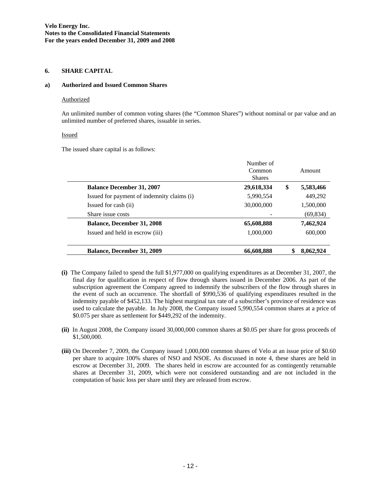#### **6. SHARE CAPITAL**

#### **a) Authorized and Issued Common Shares**

#### **Authorized**

An unlimited number of common voting shares (the "Common Shares") without nominal or par value and an unlimited number of preferred shares, issuable in series.

#### Issued

 $\overline{a}$ 

The issued share capital is as follows:

|                                            | Number of     |                 |  |  |
|--------------------------------------------|---------------|-----------------|--|--|
|                                            | Common        | Amount          |  |  |
|                                            | <b>Shares</b> |                 |  |  |
| <b>Balance December 31, 2007</b>           | 29,618,334    | \$<br>5,583,466 |  |  |
| Issued for payment of indemnity claims (i) | 5,990,554     | 449,292         |  |  |
| Issued for cash (ii)                       | 30,000,000    | 1,500,000       |  |  |
| Share issue costs                          |               | (69,834)        |  |  |
| <b>Balance, December 31, 2008</b>          | 65,608,888    | 7,462,924       |  |  |
| Issued and held in escrow (iii)            | 1,000,000     | 600,000         |  |  |
| <b>Balance, December 31, 2009</b>          | 66,608,888    | \$<br>8,062,924 |  |  |

- **(i)** The Company failed to spend the full \$1,977,000 on qualifying expenditures as at December 31, 2007, the final day for qualification in respect of flow through shares issued in December 2006. As part of the subscription agreement the Company agreed to indemnify the subscribers of the flow through shares in the event of such an occurrence. The shortfall of \$990,536 of qualifying expenditures resulted in the indemnity payable of \$452,133. The highest marginal tax rate of a subscriber's province of residence was used to calculate the payable. In July 2008, the Company issued 5,990,554 common shares at a price of \$0.075 per share as settlement for \$449,292 of the indemnity.
- **(ii)** In August 2008, the Company issued 30,000,000 common shares at \$0.05 per share for gross proceeds of \$1,500,000.
- **(iii)** On December 7, 2009, the Company issued 1,000,000 common shares of Velo at an issue price of \$0.60 per share to acquire 100% shares of NSO and NSOE. As discussed in note 4, these shares are held in escrow at December 31, 2009. The shares held in escrow are accounted for as contingently returnable shares at December 31, 2009, which were not considered outstanding and are not included in the computation of basic loss per share until they are released from escrow.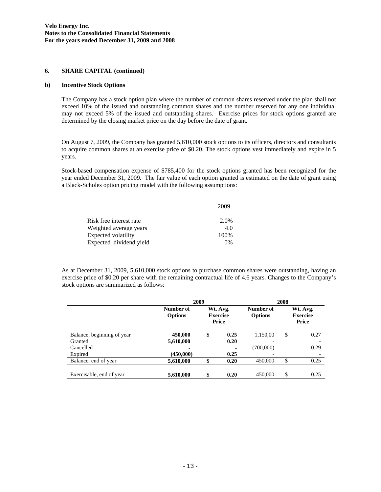#### **6. SHARE CAPITAL (continued)**

#### **b) Incentive Stock Options**

The Company has a stock option plan where the number of common shares reserved under the plan shall not exceed 10% of the issued and outstanding common shares and the number reserved for any one individual may not exceed 5% of the issued and outstanding shares. Exercise prices for stock options granted are determined by the closing market price on the day before the date of grant.

On August 7, 2009, the Company has granted 5,610,000 stock options to its officers, directors and consultants to acquire common shares at an exercise price of \$0.20. The stock options vest immediately and expire in 5 years.

Stock-based compensation expense of \$785,400 for the stock options granted has been recognized for the year ended December 31, 2009. The fair value of each option granted is estimated on the date of grant using a Black-Scholes option pricing model with the following assumptions:

|                         | 2009 |
|-------------------------|------|
| Risk free interest rate | 2.0% |
| Weighted average years  | 4.0  |
| Expected volatility     | 100% |
| Expected dividend yield | 0%   |

As at December 31, 2009, 5,610,000 stock options to purchase common shares were outstanding, having an exercise price of \$0.20 per share with the remaining contractual life of 4.6 years. Changes to the Company's stock options are summarized as follows:

|                            | 2009<br>2008                |    |                                      |                             |    |                                      |
|----------------------------|-----------------------------|----|--------------------------------------|-----------------------------|----|--------------------------------------|
|                            | Number of<br><b>Options</b> |    | Wt. Avg.<br><b>Exercise</b><br>Price | Number of<br><b>Options</b> |    | Wt. Avg.<br><b>Exercise</b><br>Price |
| Balance, beginning of year | 450,000                     | \$ | 0.25                                 | 1,150,00                    | \$ | 0.27                                 |
| Granted                    | 5,610,000                   |    | 0.20                                 |                             |    |                                      |
| Cancelled                  | $\blacksquare$              |    |                                      | (700,000)                   |    | 0.29                                 |
| Expired                    | (450,000)                   |    | 0.25                                 |                             |    |                                      |
| Balance, end of year       | 5,610,000                   | \$ | 0.20                                 | 450,000                     | \$ | 0.25                                 |
| Exercisable, end of year   | 5,610,000                   | \$ | 0.20                                 | 450,000                     | \$ | 0.25                                 |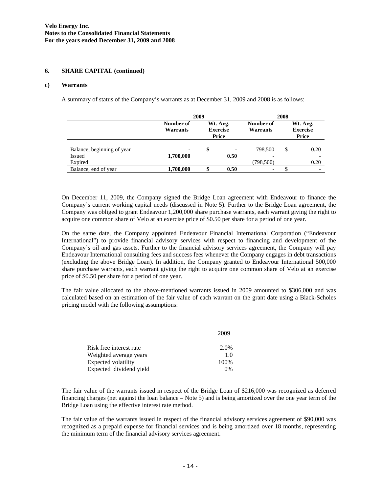#### **6. SHARE CAPITAL (continued)**

#### **c) Warrants**

A summary of status of the Company's warrants as at December 31, 2009 and 2008 is as follows:

|                            | 2009                  |    |                                      | 2008                  |   |                                      |
|----------------------------|-----------------------|----|--------------------------------------|-----------------------|---|--------------------------------------|
|                            | Number of<br>Warrants |    | Wt. Avg.<br><b>Exercise</b><br>Price | Number of<br>Warrants |   | Wt. Avg.<br><b>Exercise</b><br>Price |
| Balance, beginning of year | ٠                     | \$ | ۰                                    | 798,500               | S | 0.20                                 |
| <b>Issued</b>              | 1,700,000             |    | 0.50                                 |                       |   |                                      |
| Expired                    | $\blacksquare$        |    | ۰                                    | (798,500)             |   | 0.20                                 |
| Balance, end of year       | 1,700,000             |    | 0.50                                 |                       |   |                                      |

On December 11, 2009, the Company signed the Bridge Loan agreement with Endeavour to finance the Company's current working capital needs (discussed in Note 5). Further to the Bridge Loan agreement, the Company was obliged to grant Endeavour 1,200,000 share purchase warrants, each warrant giving the right to acquire one common share of Velo at an exercise price of \$0.50 per share for a period of one year.

On the same date, the Company appointed Endeavour Financial International Corporation ("Endeavour International") to provide financial advisory services with respect to financing and development of the Company's oil and gas assets. Further to the financial advisory services agreement, the Company will pay Endeavour International consulting fees and success fees whenever the Company engages in debt transactions (excluding the above Bridge Loan). In addition, the Company granted to Endeavour International 500,000 share purchase warrants, each warrant giving the right to acquire one common share of Velo at an exercise price of \$0.50 per share for a period of one year.

The fair value allocated to the above-mentioned warrants issued in 2009 amounted to \$306,000 and was calculated based on an estimation of the fair value of each warrant on the grant date using a Black-Scholes pricing model with the following assumptions:

|                         | 2009  |
|-------------------------|-------|
| Risk free interest rate | 2.0%  |
| Weighted average years  | 1.0   |
| Expected volatility     | 100\% |
| Expected dividend yield | 0%    |

The fair value of the warrants issued in respect of the Bridge Loan of \$216,000 was recognized as deferred financing charges (net against the loan balance – Note 5) and is being amortized over the one year term of the Bridge Loan using the effective interest rate method.

The fair value of the warrants issued in respect of the financial advisory services agreement of \$90,000 was recognized as a prepaid expense for financial services and is being amortized over 18 months, representing the minimum term of the financial advisory services agreement.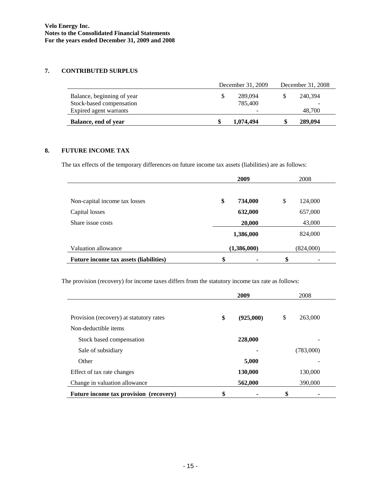# **7. CONTRIBUTED SURPLUS**

|                                                        | December 31, 2009 |                    | December 31, 2008 |         |
|--------------------------------------------------------|-------------------|--------------------|-------------------|---------|
| Balance, beginning of year<br>Stock-based compensation |                   | 289,094<br>785,400 |                   | 240.394 |
| Expired agent warrants                                 |                   |                    |                   | 48,700  |
| Balance, end of year                                   | \$                | 1,074,494          |                   | 289,094 |

# **8. FUTURE INCOME TAX**

The tax effects of the temporary differences on future income tax assets (liabilities) are as follows:

|                                        | 2009<br>2008 |           |        |           |  |
|----------------------------------------|--------------|-----------|--------|-----------|--|
|                                        |              |           |        |           |  |
| Non-capital income tax losses          | \$           | 734,000   | \$     | 124,000   |  |
| Capital losses                         |              | 632,000   |        | 657,000   |  |
| Share issue costs                      | 20,000       |           | 43,000 |           |  |
|                                        |              | 1,386,000 |        | 824,000   |  |
| Valuation allowance                    | (1,386,000)  |           |        | (824,000) |  |
| Future income tax assets (liabilities) | \$           | ۰         | \$     | ٠         |  |

The provision (recovery) for income taxes differs from the statutory income tax rate as follows:

|                                         | 2009 |           | 2008 |           |  |
|-----------------------------------------|------|-----------|------|-----------|--|
|                                         |      |           |      |           |  |
| Provision (recovery) at statutory rates | \$   | (925,000) | \$   | 263,000   |  |
| Non-deductible items                    |      |           |      |           |  |
| Stock based compensation                |      | 228,000   |      |           |  |
| Sale of subsidiary                      |      |           |      | (783,000) |  |
| Other                                   |      | 5,000     |      |           |  |
| Effect of tax rate changes              |      | 130,000   |      | 130,000   |  |
| Change in valuation allowance           |      | 562,000   |      | 390,000   |  |
| Future income tax provision (recovery)  | \$   |           | \$   |           |  |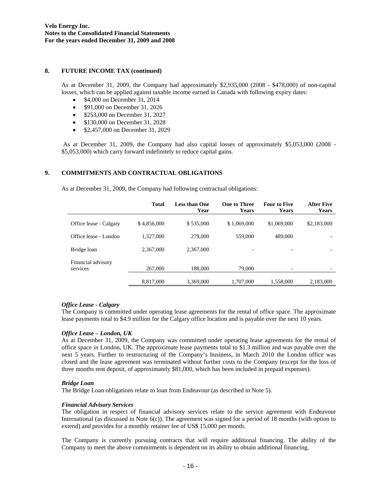#### **8. FUTURE INCOME TAX (continued)**

As at December 31, 2009, the Company had approximately \$2,935,000 (2008 - \$478,000) of non-capital losses, which can be applied against taxable income earned in Canada with following expiry dates:

- \$4,000 on December 31, 2014
- \$91,000 on December 31, 2026
- \$253,000 on December 31, 2027
- \$130,000 on December 31, 2028
- \$2,457,000 on December 31, 2029

 As at December 31, 2009, the Company had also capital losses of approximately \$5,053,000 (2008 - \$5,053,000) which carry forward indefinitely to reduce capital gains.

# **9. COMMITMENTS AND CONTRACTUAL OBLIGATIONS**

As at December 31, 2009, the Company had following contractual obligations:

|                                | <b>Total</b> | <b>Less than One</b><br>Year | <b>One to Three</b><br><b>Years</b> | <b>Four to Five</b><br>Years | <b>After Five</b><br>Years |
|--------------------------------|--------------|------------------------------|-------------------------------------|------------------------------|----------------------------|
| Office lease - Calgary         | \$4,856,000  | \$535,000                    | \$1,069,000                         | \$1,069,000                  | \$2,183,000                |
| Office lease - London          | 1,327,000    | 279,000                      | 559,000                             | 489,000                      |                            |
| Bridge loan                    | 2,367,000    | 2,367,000                    | $\overline{\phantom{0}}$            | $\overline{\phantom{0}}$     |                            |
| Financial advisory<br>services | 267,000      | 188,000                      | 79,000                              | -                            |                            |
|                                | 8.817,000    | 3,369,000                    | 1,707,000                           | 1.558,000                    | 2,183,000                  |

# *Office Lease - Calgary*

The Company is committed under operating lease agreements for the rental of office space. The approximate lease payments total to \$4.9 million for the Calgary office location and is payable over the next 10 years.

# *Office Lease – London, UK*

As at December 31, 2009, the Company was committed under operating lease agreements for the rental of office space in London, UK. The approximate lease payments total to \$1.3 million and was payable over the next 5 years. Further to restructuring of the Company's business, in March 2010 the London office was closed and the lease agreement was terminated without further costs to the Company (except for the loss of three months rent deposit, of approximately \$81,000, which has been included in prepaid expenses).

# *Bridge Loan*

The Bridge Loan obligations relate to loan from Endeavour (as described in Note 5).

#### *Financial Advisory Services*

The obligation in respect of financial advisory services relate to the service agreement with Endeavour International (as discussed in Note 6(c)). The agreement was signed for a period of 18 months (with option to extend) and provides for a monthly retainer fee of US\$ 15,000 per month.

The Company is currently pursuing contracts that will require additional financing. The ability of the Company to meet the above commitments is dependent on its ability to obtain additional financing.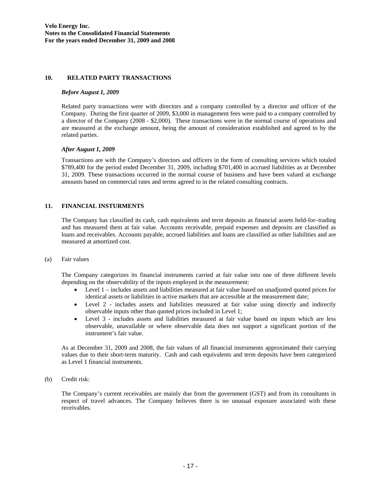#### **10. RELATED PARTY TRANSACTIONS**

#### *Before August 1, 2009*

Related party transactions were with directors and a company controlled by a director and officer of the Company. During the first quarter of 2009, \$3,000 in management fees were paid to a company controlled by a director of the Company (2008 - \$2,000). These transactions were in the normal course of operations and are measured at the exchange amount, being the amount of consideration established and agreed to by the related parties.

# *After August 1, 2009*

Transactions are with the Company's directors and officers in the form of consulting services which totaled \$789,400 for the period ended December 31, 2009, including \$701,400 in accrued liabilities as at December 31, 2009. These transactions occurred in the normal course of business and have been valued at exchange amounts based on commercial rates and terms agreed to in the related consulting contracts.

# **11. FINANCIAL INSTURMENTS**

The Company has classified its cash, cash equivalents and term deposits as financial assets held-for–trading and has measured them at fair value. Accounts receivable, prepaid expenses and deposits are classified as loans and receivables. Accounts payable, accrued liabilities and loans are classified as other liabilities and are measured at amortized cost.

#### (a) Fair values

The Company categorizes its financial instruments carried at fair value into one of three different levels depending on the observability of the inputs employed in the measurement:

- Level 1 includes assets and liabilities measured at fair value based on unadjusted quoted prices for identical assets or liabilities in active markets that are accessible at the measurement date;
- Level 2 includes assets and liabilities measured at fair value using directly and indirectly observable inputs other than quoted prices included in Level 1;
- Level 3 includes assets and liabilities measured at fair value based on inputs which are less observable, unavailable or where observable data does not support a significant portion of the instrument's fair value.

As at December 31, 2009 and 2008, the fair values of all financial instruments approximated their carrying values due to their short-term maturity. Cash and cash equivalents and term deposits have been categorized as Level 1 financial instruments.

(b) Credit risk:

The Company's current receivables are mainly due from the government (GST) and from its consultants in respect of travel advances. The Company believes there is no unusual exposure associated with these receivables.